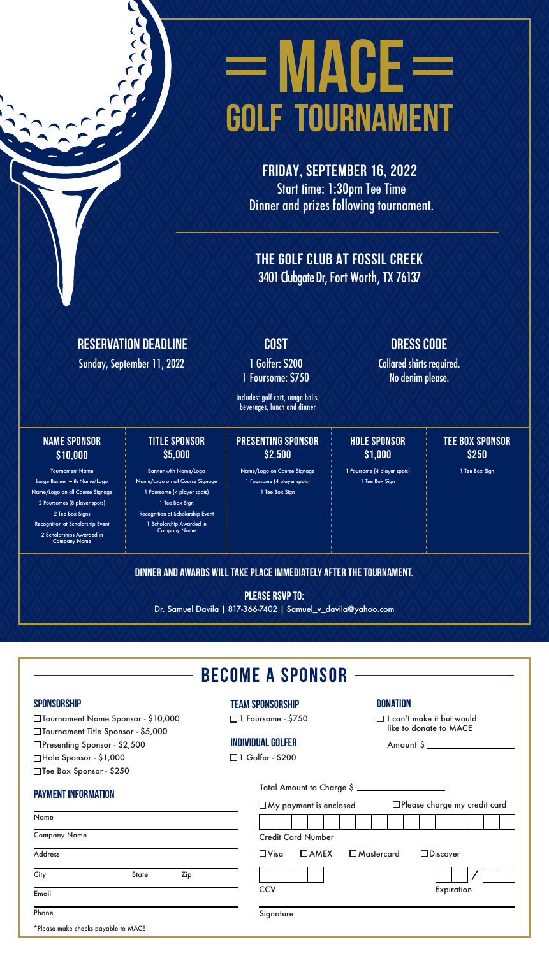# **EMAGE GOLF TOURNAMENT**

FRIDAY, September 16, 2022 Start time: 1:30pm Tee Time Dinner and prizes following tournament.

The Golf Club at Fossil Creek 3401 Clubgate Dr, Fort Worth, TX 76137

#### RESERVATION DEADLINE

Sunday, September 11, 2022 1 Golfer: \$200

1 Foursome: \$750

Includes: golf cart, range balls, beverages, lunch and dinner

#### NAME SPONSOR \$10,000

Tournament Name

Large Banner with Name/Logo Name/Logo on all Course Signage 2 Foursomes (8 player spots) 2 Tee Box Signs Recognition at Scholarship Event 2 Scholarships Awarded in Company Name

#### TITLE SPONSOR \$5,000

Banner with Name/Logo Name/Logo on all Course Signage 1 Foursome (4 player spots) 1 Tee Box Sign

Recognition at Scholarship Event 1 Scholarship Awarded in Company Name

#### PRESENTING SPONSOR \$2,500

Name/Logo on Course Signage 1 Foursome (4 player spots) 1 Tee Box Sign

#### COST DRESS CODE

Collared shirts required. No denim please.

## HOLE SPONSOR

\$1,000

#### 1 Foursome (4 player spots) 1 Tee Box Sign

#### TEE BOX SPONSOR \$250

1 Tee Box Sign

#### DINNER AND AWARDS WILL TAKE PLACE IMMEDIATELY AFTER THE TOURNAMENT.

PLEASE RSVP TO:

Dr. Samuel Davila | 817-366-7402 | Samuel\_v\_davila@yahoo.com

|  | <b>BECOME A SPONSOR</b> |
|--|-------------------------|
|--|-------------------------|

#### **SPONSORSHIP**

Team Sponsorship

 $\Box$  1 Foursome - \$

#### **INDIVIDUAL GOLFE**

 $\Box$  1 Golfer - \$20

#### **DONATION**

| rsome - \$750                                                 | $\Box$ I can't make it but would<br>like to donate to MACE |  |  |
|---------------------------------------------------------------|------------------------------------------------------------|--|--|
| Jal Golfer                                                    | Amount \$                                                  |  |  |
| lfer - \$200                                                  |                                                            |  |  |
| Total Amount to Charge \$<br>$\square$ My payment is enclosed | $\Box$ Please charge my credit card                        |  |  |
|                                                               |                                                            |  |  |
| <b>Credit Card Number</b>                                     |                                                            |  |  |
| $\Box$ AMEX $\Box$ Mastercard<br>$\square$ Visa               | $\Box$ Discover                                            |  |  |
| <b>CCV</b>                                                    | Expiration                                                 |  |  |
| Signature                                                     |                                                            |  |  |

Payment Information

Tournament Name Sponsor - \$10,000 Tournament Title Sponsor - \$5,000 □Presenting Sponsor - \$2,500 Hole Sponsor - \$1,000 □Tee Box Sponsor - \$250

| Name                                |              |     |  |
|-------------------------------------|--------------|-----|--|
| <b>Company Name</b>                 |              |     |  |
| Address                             |              |     |  |
| City                                | <b>State</b> | Zip |  |
| Email                               |              |     |  |
| Phone                               |              |     |  |
| *Please make checks payable to MACE |              |     |  |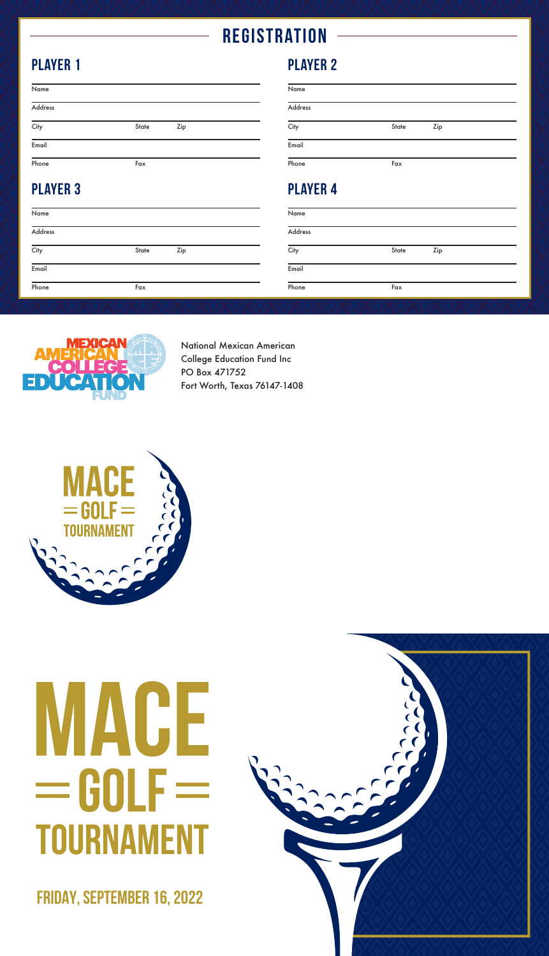## **REGISTRATION**

## PLAYER 1

| Name              |       |     |  |
|-------------------|-------|-----|--|
| Address           |       |     |  |
| $\overline{City}$ | State | Zip |  |
| Email             |       |     |  |
| Phone             | Fax   |     |  |

## PLAYER 3

| Name    |       |     |
|---------|-------|-----|
| Address |       |     |
| City    | State | Zip |
| Email   |       |     |
| Phone   | Fax   |     |

### PLAYER 2

| Name            |       |     |  |
|-----------------|-------|-----|--|
| Address         |       |     |  |
| City            | State | Zip |  |
| Email           |       |     |  |
| Phone           | Fax   |     |  |
| <b>PLAYER 4</b> |       |     |  |
| Name            |       |     |  |

| City | State | Zip |
|------|-------|-----|
|      |       |     |

Address

Email

Phone Fax



National Mexican American College Education Fund Inc PO Box 471752 Fort Worth, Texas 76147-1408



# CE UULI **TOURNAMENT**

FRIDAY, September 16, 2022